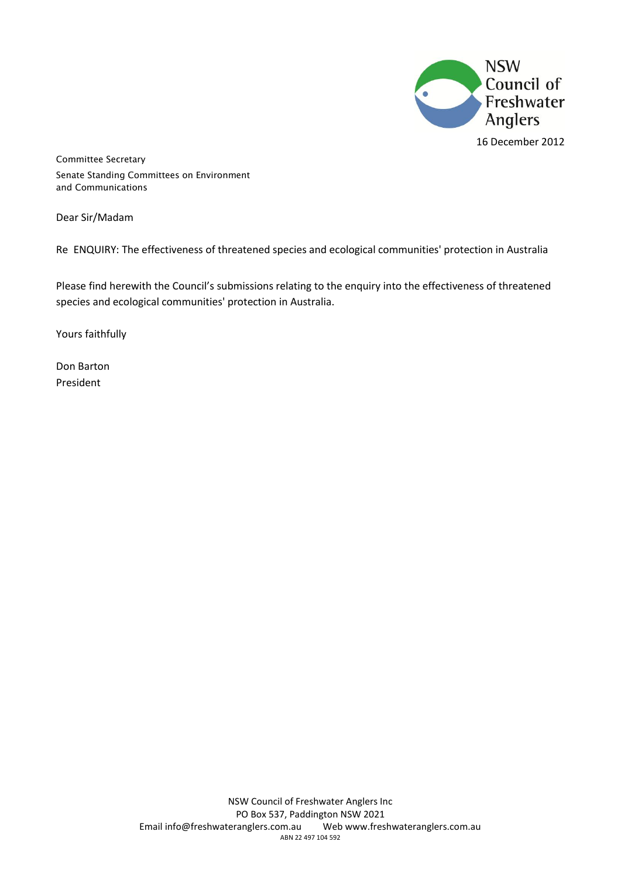

16 December 2012

Committee Secretary Senate Standing Committees on Environment and Communications

Dear Sir/Madam

Re ENQUIRY: The effectiveness of threatened species and ecological communities' protection in Australia

Please find herewith the Council's submissions relating to the enquiry into the effectiveness of threatened species and ecological communities' protection in Australia.

Yours faithfully

Don Barton President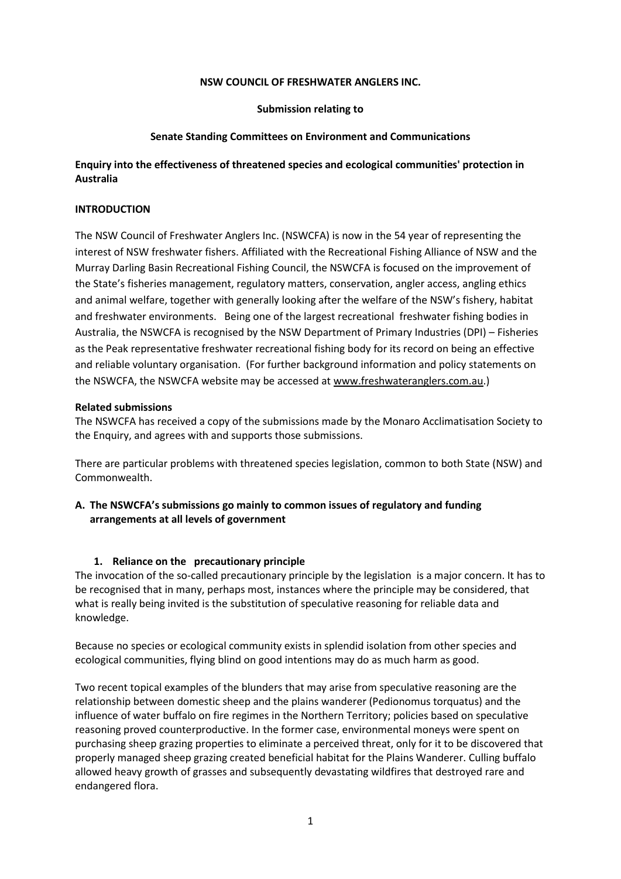### **NSW COUNCIL OF FRESHWATER ANGLERS INC.**

### **Submission relating to**

### **Senate Standing Committees on Environment and Communications**

### **Enquiry into the effectiveness of threatened species and ecological communities' protection in Australia**

### **INTRODUCTION**

The NSW Council of Freshwater Anglers Inc. (NSWCFA) is now in the 54 year of representing the interest of NSW freshwater fishers. Affiliated with the Recreational Fishing Alliance of NSW and the Murray Darling Basin Recreational Fishing Council, the NSWCFA is focused on the improvement of the State's fisheries management, regulatory matters, conservation, angler access, angling ethics and animal welfare, together with generally looking after the welfare of the NSW's fishery, habitat and freshwater environments. Being one of the largest recreational freshwater fishing bodies in Australia, the NSWCFA is recognised by the NSW Department of Primary Industries (DPI) – Fisheries as the Peak representative freshwater recreational fishing body for its record on being an effective and reliable voluntary organisation. (For further background information and policy statements on the NSWCFA, the NSWCFA website may be accessed a[t www.freshwateranglers.com.au.](http://www.freshwateranglers.com.au/))

#### **Related submissions**

The NSWCFA has received a copy of the submissions made by the Monaro Acclimatisation Society to the Enquiry, and agrees with and supports those submissions.

There are particular problems with threatened species legislation, common to both State (NSW) and Commonwealth.

### **A. The NSWCFA's submissions go mainly to common issues of regulatory and funding arrangements at all levels of government**

### **1. Reliance on the precautionary principle**

The invocation of the so-called precautionary principle by the legislation is a major concern. It has to be recognised that in many, perhaps most, instances where the principle may be considered, that what is really being invited is the substitution of speculative reasoning for reliable data and knowledge.

Because no species or ecological community exists in splendid isolation from other species and ecological communities, flying blind on good intentions may do as much harm as good.

Two recent topical examples of the blunders that may arise from speculative reasoning are the relationship between domestic sheep and the plains wanderer (Pedionomus torquatus) and the influence of water buffalo on fire regimes in the Northern Territory; policies based on speculative reasoning proved counterproductive. In the former case, environmental moneys were spent on purchasing sheep grazing properties to eliminate a perceived threat, only for it to be discovered that properly managed sheep grazing created beneficial habitat for the Plains Wanderer. Culling buffalo allowed heavy growth of grasses and subsequently devastating wildfires that destroyed rare and endangered flora.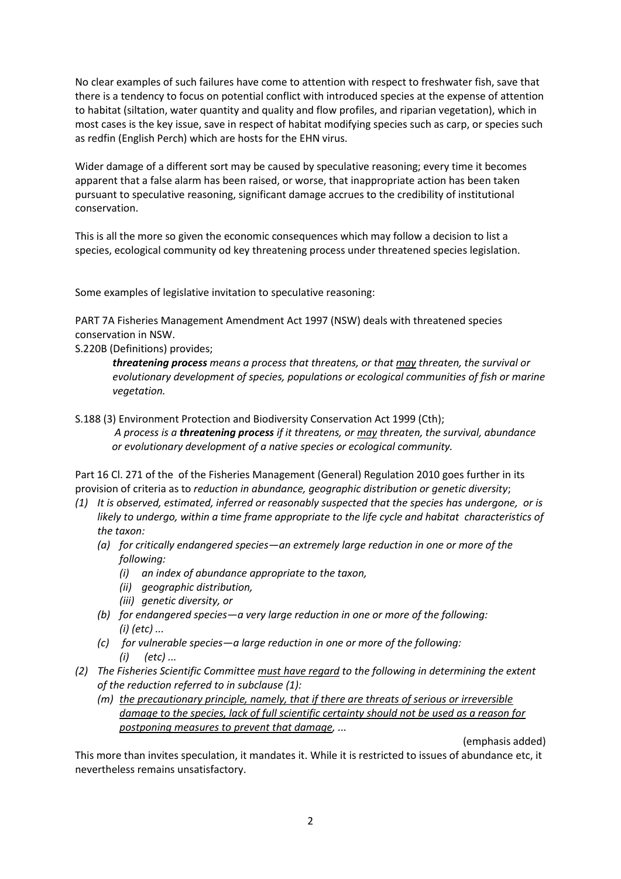No clear examples of such failures have come to attention with respect to freshwater fish, save that there is a tendency to focus on potential conflict with introduced species at the expense of attention to habitat (siltation, water quantity and quality and flow profiles, and riparian vegetation), which in most cases is the key issue, save in respect of habitat modifying species such as carp, or species such as redfin (English Perch) which are hosts for the EHN virus.

Wider damage of a different sort may be caused by speculative reasoning; every time it becomes apparent that a false alarm has been raised, or worse, that inappropriate action has been taken pursuant to speculative reasoning, significant damage accrues to the credibility of institutional conservation.

This is all the more so given the economic consequences which may follow a decision to list a species, ecological community od key threatening process under threatened species legislation.

Some examples of legislative invitation to speculative reasoning:

PART 7A Fisheries Management Amendment Act 1997 (NSW) deals with threatened species conservation in NSW.

S.220B (Definitions) provides;

*threatening process means a process that threatens, or that may threaten, the survival or evolutionary development of species, populations or ecological communities of fish or marine vegetation.*

S.188 (3) Environment Protection and Biodiversity Conservation Act 1999 (Cth);

*A process is a threatening process if it threatens, or may threaten, the survival, abundance or evolutionary development of a native species or ecological community.*

Part 16 Cl. 271 of the of the Fisheries Management (General) Regulation 2010 goes further in its provision of criteria as to *reduction in abundance, geographic distribution or genetic diversity*;

- *(1) It is observed, estimated, inferred or reasonably suspected that the species has undergone, or is likely to undergo, within a time frame appropriate to the life cycle and habitat characteristics of the taxon:* 
	- *(a) for critically endangered species—an extremely large reduction in one or more of the following:* 
		- *(i) an index of abundance appropriate to the taxon,*
		- *(ii) geographic distribution,*
		- *(iii) genetic diversity, or*
	- *(b) for endangered species—a very large reduction in one or more of the following: (i) (etc) ...*
	- *(c) for vulnerable species—a large reduction in one or more of the following: (i) (etc) ...*
- *(2) The Fisheries Scientific Committee must have regard to the following in determining the extent of the reduction referred to in subclause (1):*
	- *(m) the precautionary principle, namely, that if there are threats of serious or irreversible damage to the species, lack of full scientific certainty should not be used as a reason for postponing measures to prevent that damage, ...*

(emphasis added)

This more than invites speculation, it mandates it. While it is restricted to issues of abundance etc, it nevertheless remains unsatisfactory.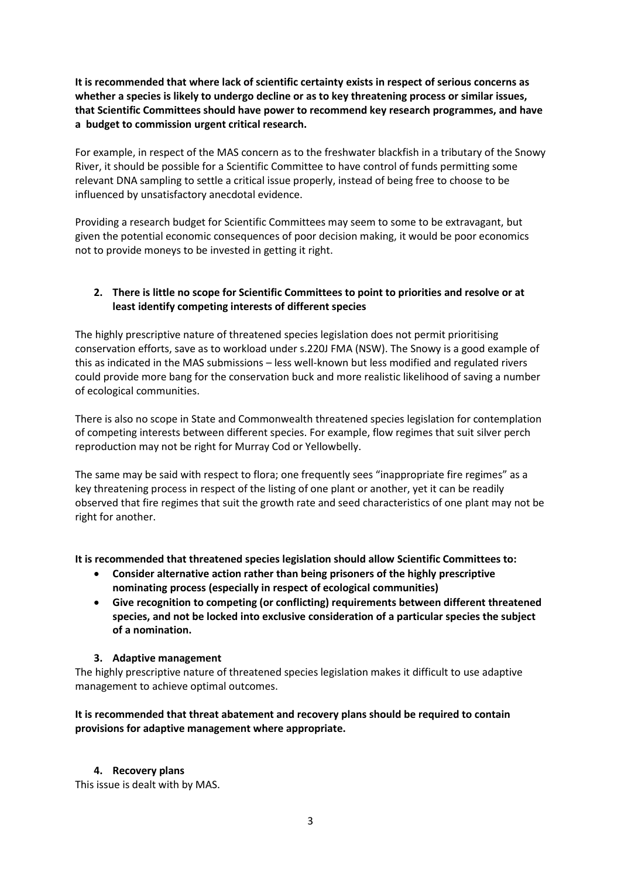**It is recommended that where lack of scientific certainty exists in respect of serious concerns as whether a species is likely to undergo decline or as to key threatening process or similar issues, that Scientific Committees should have power to recommend key research programmes, and have a budget to commission urgent critical research.**

For example, in respect of the MAS concern as to the freshwater blackfish in a tributary of the Snowy River, it should be possible for a Scientific Committee to have control of funds permitting some relevant DNA sampling to settle a critical issue properly, instead of being free to choose to be influenced by unsatisfactory anecdotal evidence.

Providing a research budget for Scientific Committees may seem to some to be extravagant, but given the potential economic consequences of poor decision making, it would be poor economics not to provide moneys to be invested in getting it right.

# **2. There is little no scope for Scientific Committees to point to priorities and resolve or at least identify competing interests of different species**

The highly prescriptive nature of threatened species legislation does not permit prioritising conservation efforts, save as to workload under s.220J FMA (NSW). The Snowy is a good example of this as indicated in the MAS submissions – less well-known but less modified and regulated rivers could provide more bang for the conservation buck and more realistic likelihood of saving a number of ecological communities.

There is also no scope in State and Commonwealth threatened species legislation for contemplation of competing interests between different species. For example, flow regimes that suit silver perch reproduction may not be right for Murray Cod or Yellowbelly.

The same may be said with respect to flora; one frequently sees "inappropriate fire regimes" as a key threatening process in respect of the listing of one plant or another, yet it can be readily observed that fire regimes that suit the growth rate and seed characteristics of one plant may not be right for another.

**It is recommended that threatened species legislation should allow Scientific Committees to:**

- **Consider alternative action rather than being prisoners of the highly prescriptive nominating process (especially in respect of ecological communities)**
- **Give recognition to competing (or conflicting) requirements between different threatened species, and not be locked into exclusive consideration of a particular species the subject of a nomination.**

# **3. Adaptive management**

The highly prescriptive nature of threatened species legislation makes it difficult to use adaptive management to achieve optimal outcomes.

# **It is recommended that threat abatement and recovery plans should be required to contain provisions for adaptive management where appropriate.**

# **4. Recovery plans**

This issue is dealt with by MAS.